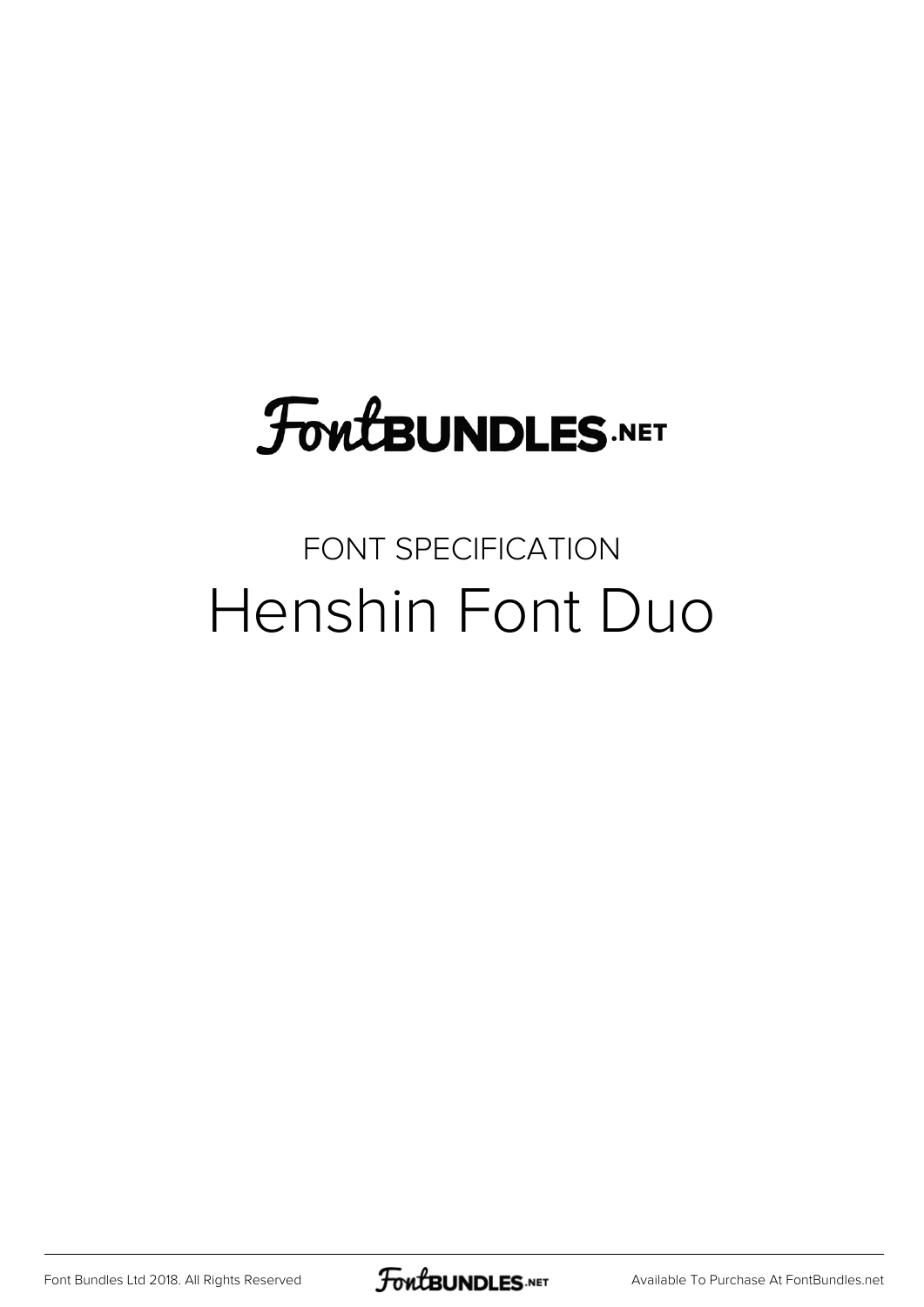## **FoutBUNDLES.NET**

### FONT SPECIFICATION Henshin Font Duo

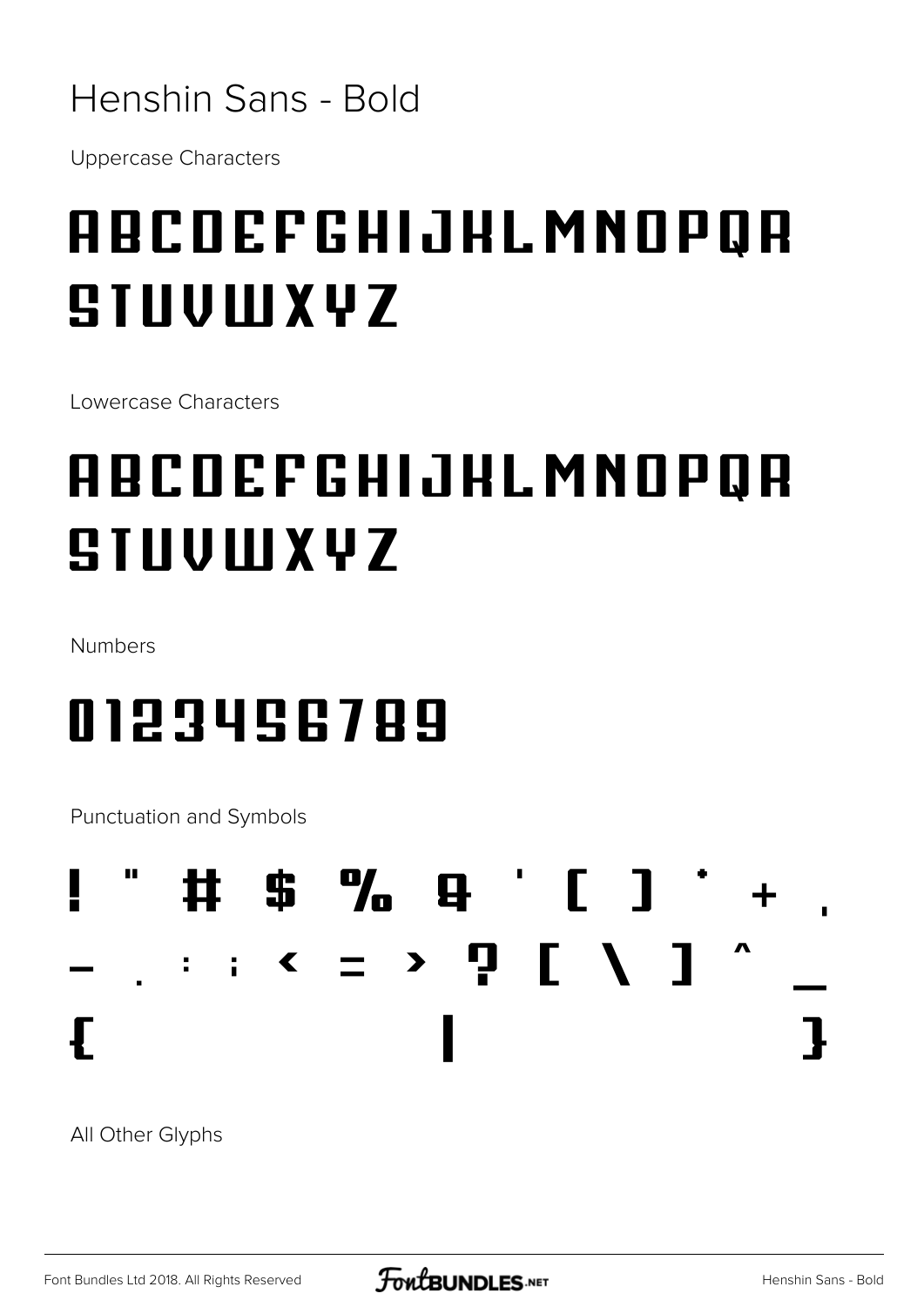#### Henshin Sans - Bold

**Uppercase Characters** 

## **ABCDEFGHIJHLMNOPQR** SIUVIUXYZ

Lowercase Characters

## **ABCDEFGHIJHLMNOPQR SIUVIUXVZ**

Numbers

### 0123456789

**Punctuation and Symbols** 



All Other Glyphs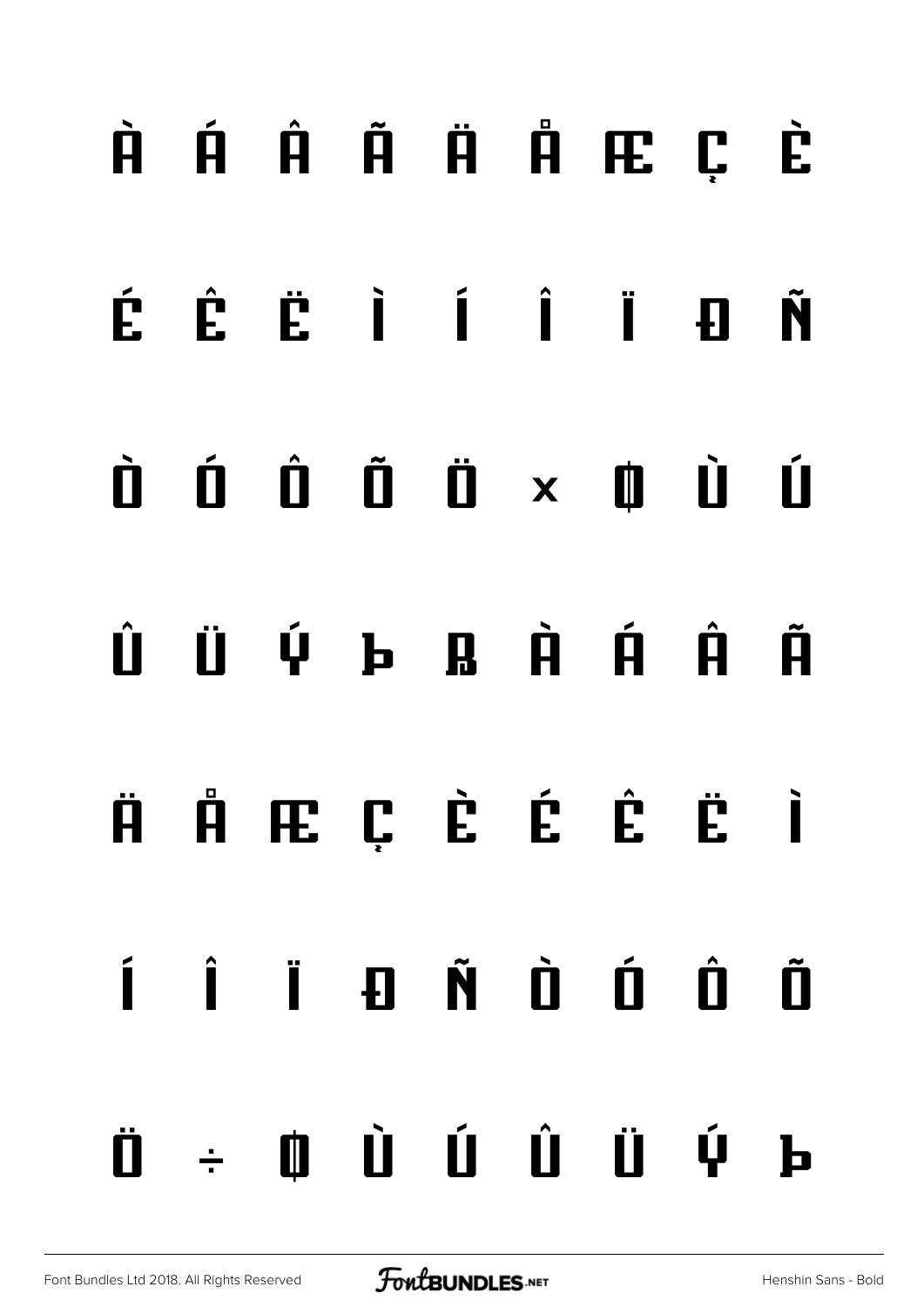# **À Á Â Ã Ä Å Æ Ç È É Ê Ë Ì Í Î Ï Ð Ñ Ò Ó Ô Õ Ö × Ø Ù Ú Û Ü Ý Þ ß à á â ã ä å æ ç è é ê ë ì í î ï ð ñ ò ó ô õ ö ÷ ø ù ú û ü ý þ**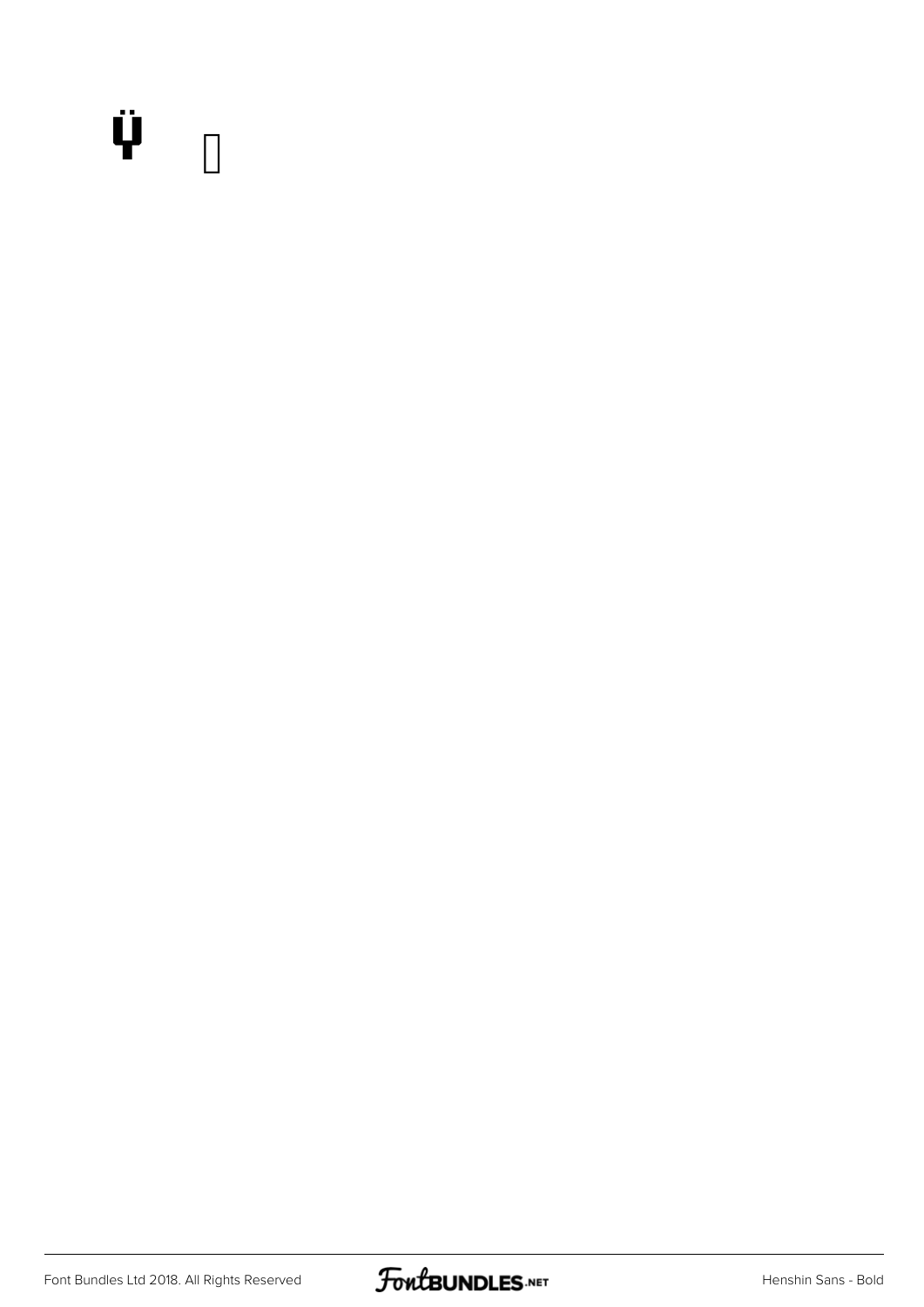#### Ÿ

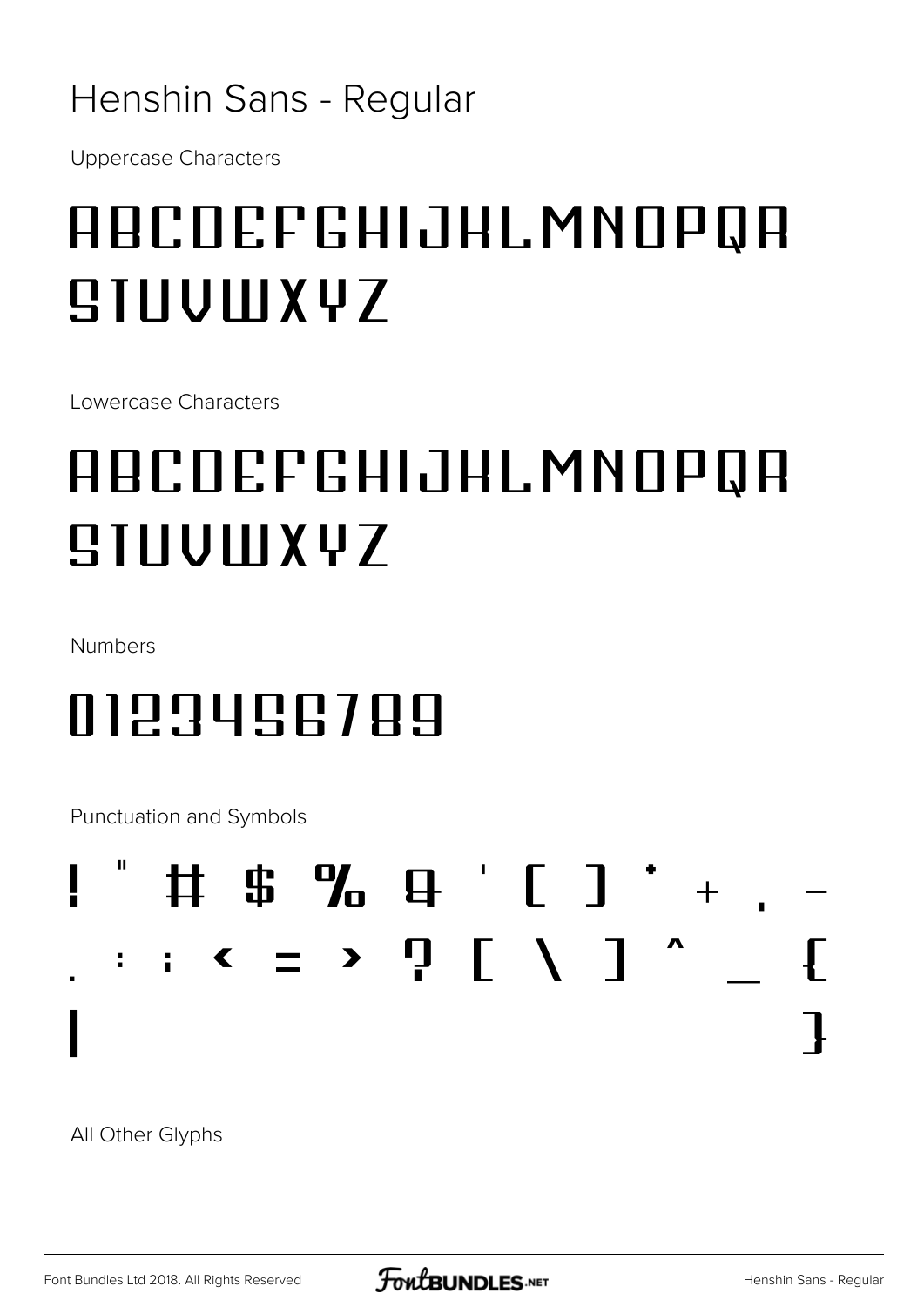#### Henshin Sans - Regular

**Uppercase Characters** 

## ABCOEFGHIJHLMNOPQA  $IIUUIIX47$

Lowercase Characters

## ABCOEFGHIJHLMNOPQA **SIIIUWXYZ**

Numbers

## 0123456789

**Punctuation and Symbols** 



All Other Glyphs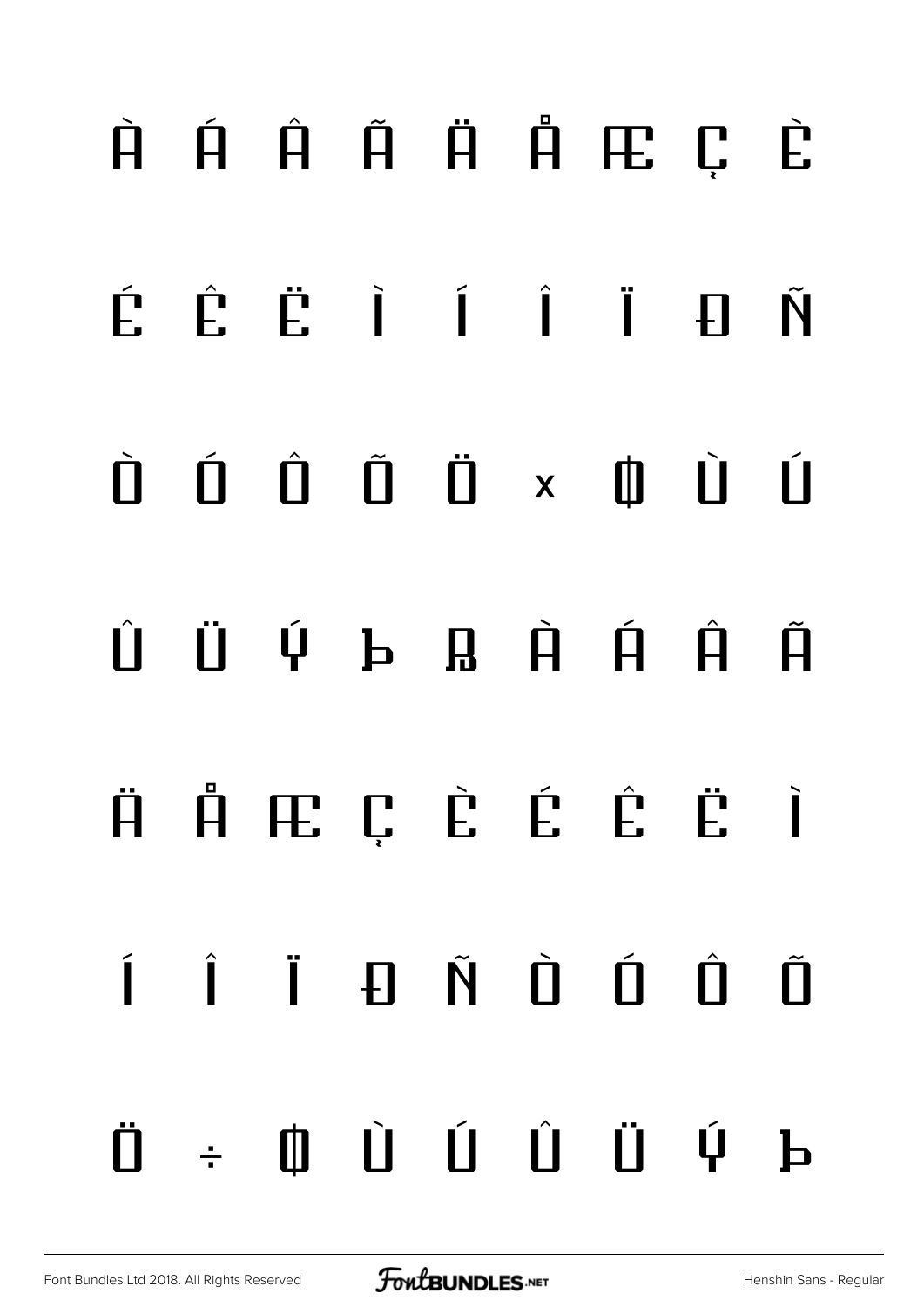# À Á Â Ã Ä Å Æ Ç È É Ê Ë Ì Í Î Ï Ð Ñ Ò Ó Ô Õ Ö × Ø Ù Ú  $\hat{U}$  Ü Ý þ Ŗ À Á Â Ã ä å æ ç è é ê ë ì í î ï ð ñ ò ó ô õ ö ÷ ø ù ú û ü ý þ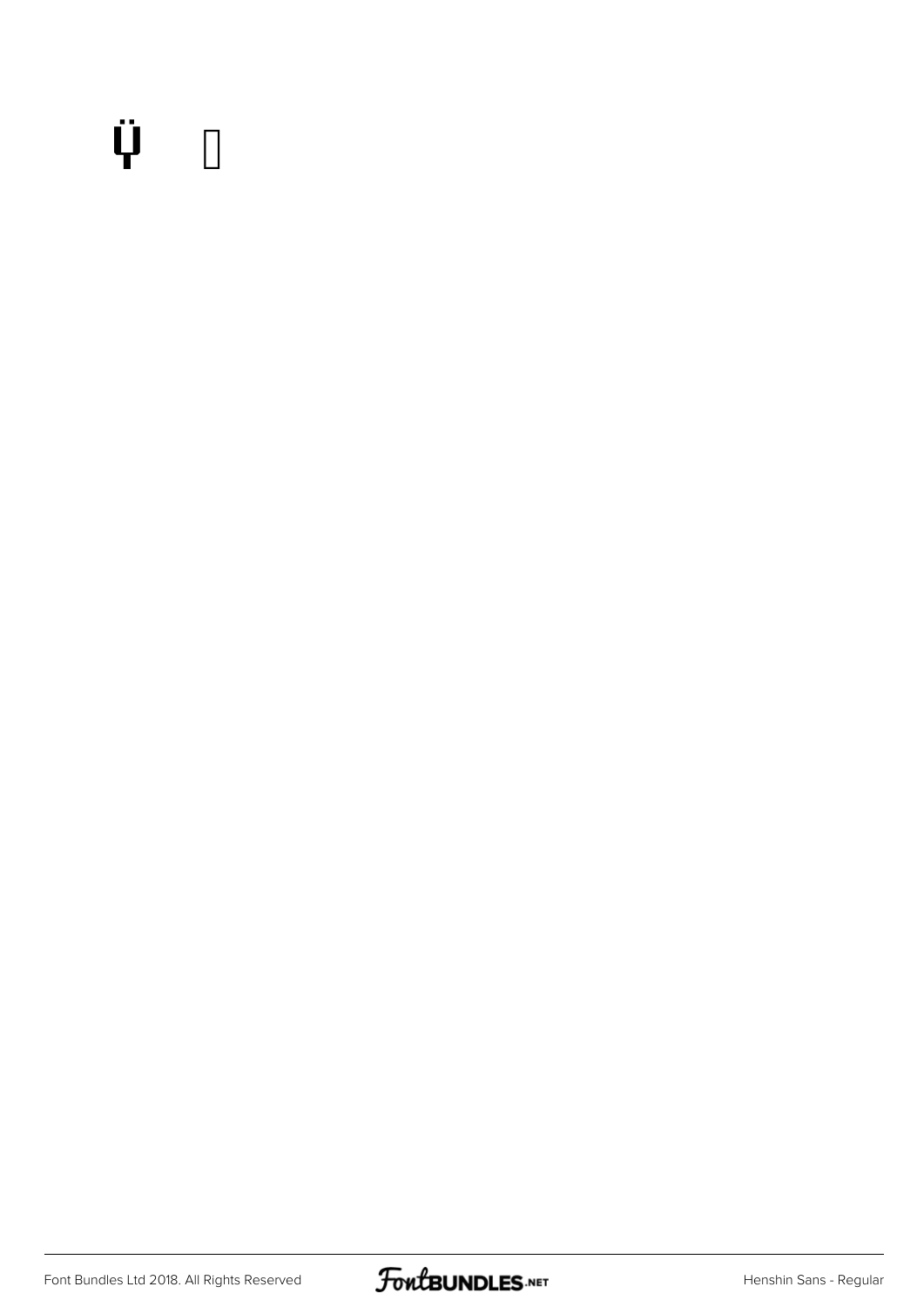## $\ddot{\Psi}$  0

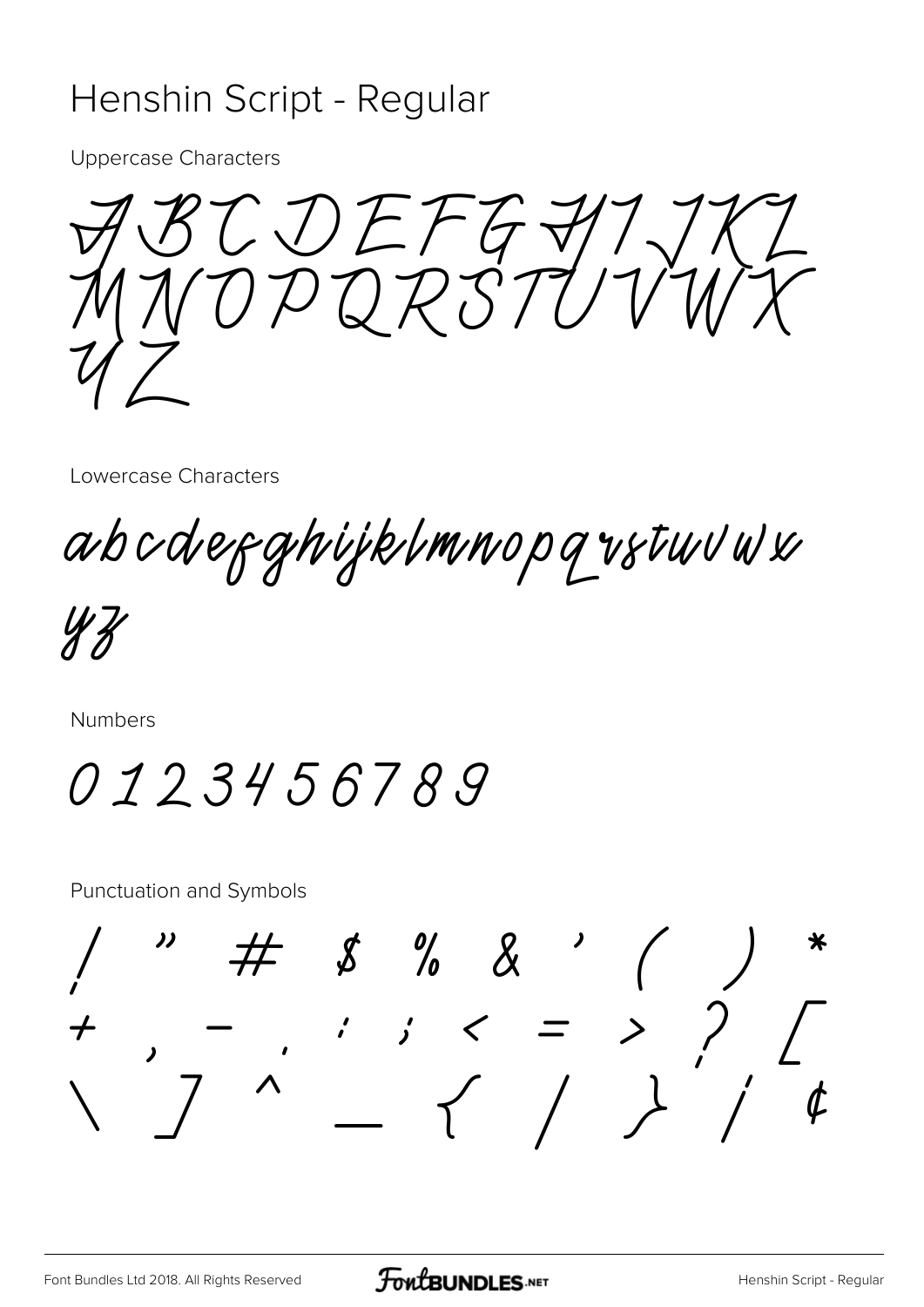#### Henshin Script - Regular

**Uppercase Characters** 

CDEFG71.

Lowercase Characters

abcdefghijklmnopq vstuvw

Numbers

0123456789

**Punctuation and Symbols** 

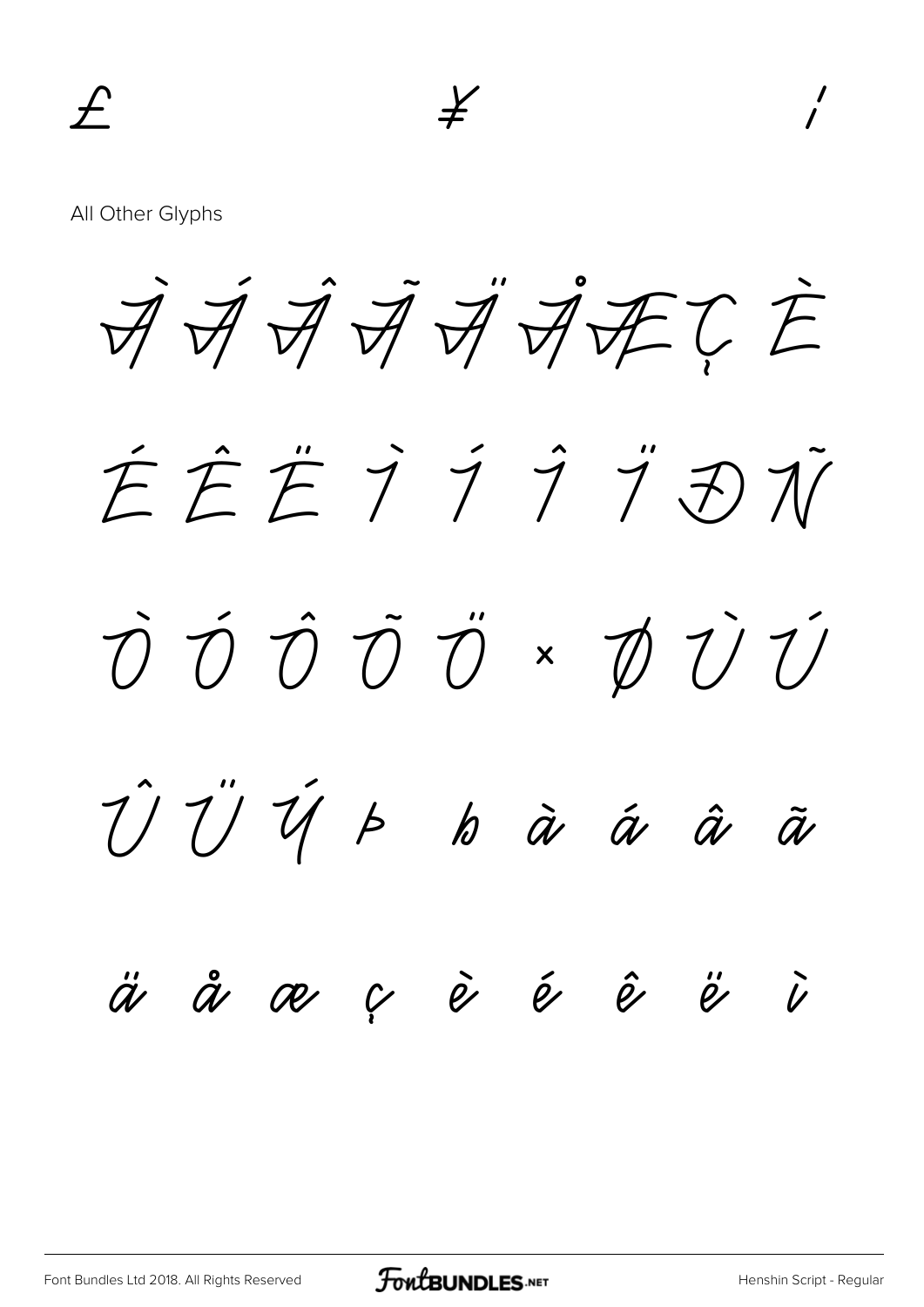All Other Glyphs

À Á Â Ã Ä ÅÆÇ È

É Ê Ë Ì Í Î Ï Ð Ñ Ò Ó Ô Õ Ö × Ø Ù Ú Û Ü Ý Þ ß à á â ã ä å æ ç è é ê ë ì

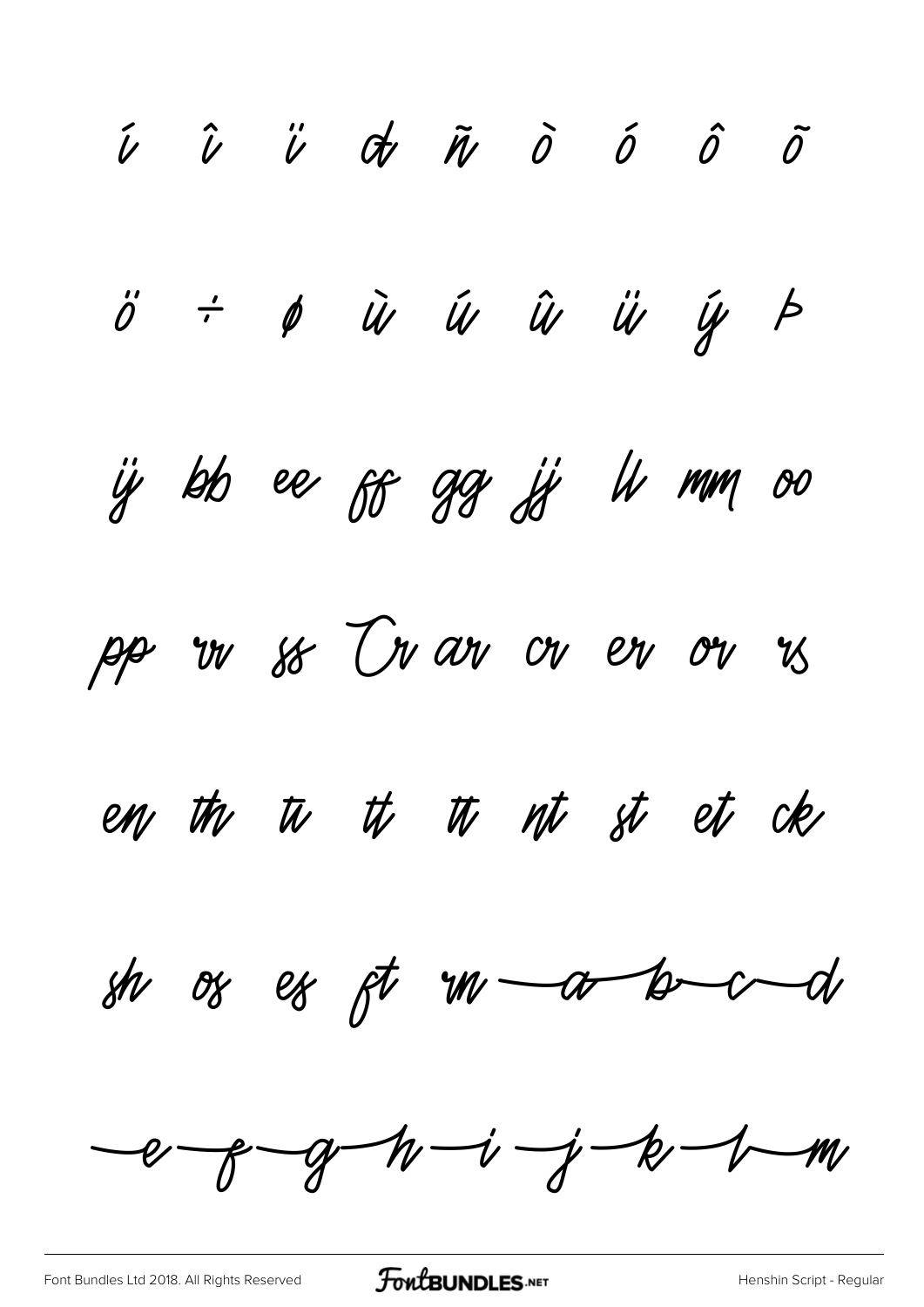$\begin{array}{cccccccccccccc} \hat{\nu} & \hat{\nu} & \hat{\nu} & \hat{\sigma} & \tilde{\eta} & \tilde{\sigma} & \tilde{\sigma} & \tilde{\sigma} & \tilde{\sigma} & \tilde{\sigma} & \tilde{\sigma} & \tilde{\sigma} & \tilde{\sigma} & \tilde{\sigma} & \tilde{\sigma} & \tilde{\sigma} & \tilde{\sigma} & \tilde{\sigma} & \tilde{\sigma} & \tilde{\sigma} & \tilde{\sigma} & \tilde{\sigma} & \tilde{\sigma} & \tilde{\sigma} & \tilde{\sigma} & \tilde{\sigma} & \tilde{\sigma} & \tilde{\sigma} & \tilde{\sigma} & \tilde{\sigma} & \tilde{\$  $\ddot{o}$   $\div$   $\phi$   $\ddot{u}$   $\ddot{u}$   $\ddot{u}$   $\ddot{u}$   $\ddot{y}$   $\phi$ ij bb ee ff gg jj li mm oo pp in so In an on en on is en the  $\psi$  th  $\psi$  th  $\psi$  st et ck sh os es ft  $w$  a b  $cd$  $e$  -g -g -h -i -j -k -1 -m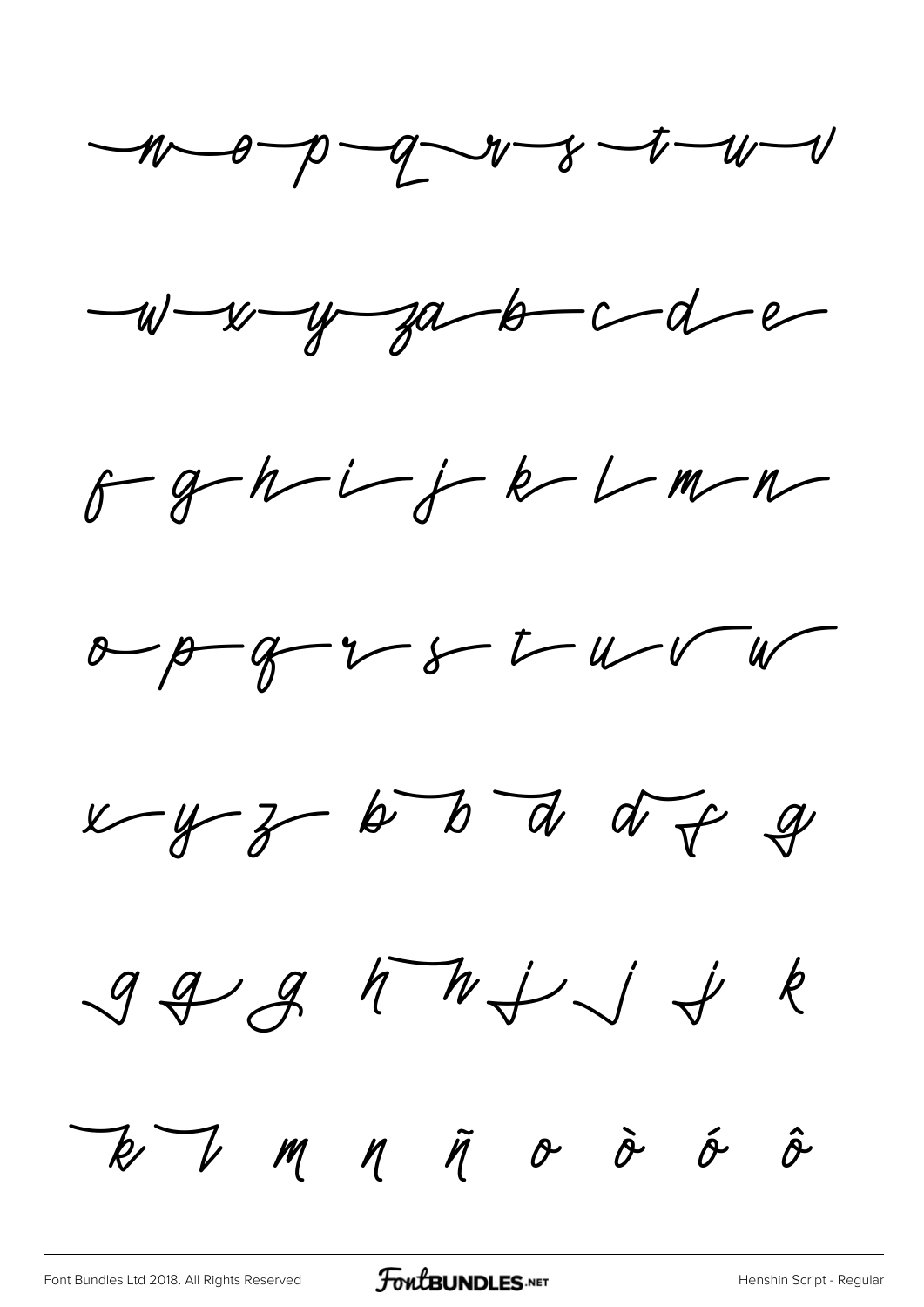$-100 - 9 - 9 - 1 - 8 - 1 - 10 - 1$ 

 $-w-w-y-a-b-c-d-e$ 

 $f-g-h-i-f-k-Lm-n$ 

 $x-y-y-z-t-u-v-w$ 

 $x-y-z-b$  b d d of g

 $999$  MHJJ &